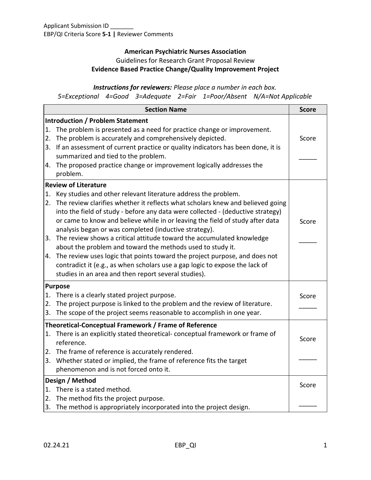## **American Psychiatric Nurses Association** Guidelines for Research Grant Proposal Review **Evidence Based Practice Change/Quality Improvement Project**

### *Instructions for reviewers: Please place a number in each box. 5=Exceptional 4=Good 3=Adequate 2=Fair 1=Poor/Absent N/A=Not Applicable*

**Section Name Section Name Score Introduction / Problem Statement**  1. The problem is presented as a need for practice change or improvement. 2. The problem is accurately and comprehensively depicted. 3. If an assessment of current practice or quality indicators has been done, it is summarized and tied to the problem. 4. The proposed practice change or improvement logically addresses the problem. Score  $\overline{\phantom{a}}$ **Review of Literature**  1. Key studies and other relevant literature address the problem. 2. The review clarifies whether it reflects what scholars knew and believed going into the field of study - before any data were collected - (deductive strategy) or came to know and believe while in or leaving the field of study after data analysis began or was completed (inductive strategy). 3. The review shows a critical attitude toward the accumulated knowledge about the problem and toward the methods used to study it. 4. The review uses logic that points toward the project purpose, and does not contradict it (e.g., as when scholars use a gap logic to expose the lack of studies in an area and then report several studies). Score \_\_\_\_\_ **Purpose**  1. There is a clearly stated project purpose. 2. The project purpose is linked to the problem and the review of literature. 3. The scope of the project seems reasonable to accomplish in one year. Score  $\overline{\phantom{a}}$ **Theoretical-Conceptual Framework / Frame of Reference**  1. There is an explicitly stated theoretical- conceptual framework or frame of reference. 2. The frame of reference is accurately rendered. 3. Whether stated or implied, the frame of reference fits the target phenomenon and is not forced onto it. Score  $\overline{\phantom{a}}$ **Design / Method**  1. There is a stated method. 2. The method fits the project purpose. 3. The method is appropriately incorporated into the project design. Score \_\_\_\_\_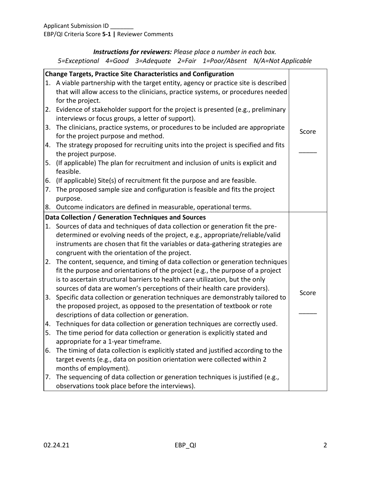# *Instructions for reviewers: Please place a number in each box.*

|  |  |  |  |  | 5=Exceptional 4=Good 3=Adequate 2=Fair 1=Poor/Absent N/A=Not Applicable |
|--|--|--|--|--|-------------------------------------------------------------------------|
|--|--|--|--|--|-------------------------------------------------------------------------|

| <b>Change Targets, Practice Site Characteristics and Configuration</b> |                                                                                      |       |  |  |  |
|------------------------------------------------------------------------|--------------------------------------------------------------------------------------|-------|--|--|--|
|                                                                        | 1. A viable partnership with the target entity, agency or practice site is described |       |  |  |  |
|                                                                        | that will allow access to the clinicians, practice systems, or procedures needed     |       |  |  |  |
|                                                                        | for the project.                                                                     |       |  |  |  |
|                                                                        | 2. Evidence of stakeholder support for the project is presented (e.g., preliminary   |       |  |  |  |
|                                                                        | interviews or focus groups, a letter of support).                                    |       |  |  |  |
|                                                                        | 3. The clinicians, practice systems, or procedures to be included are appropriate    |       |  |  |  |
|                                                                        | for the project purpose and method.                                                  | Score |  |  |  |
|                                                                        | 4. The strategy proposed for recruiting units into the project is specified and fits |       |  |  |  |
|                                                                        | the project purpose.                                                                 |       |  |  |  |
|                                                                        | 5. (If applicable) The plan for recruitment and inclusion of units is explicit and   |       |  |  |  |
|                                                                        | feasible.                                                                            |       |  |  |  |
|                                                                        | 6. (If applicable) Site(s) of recruitment fit the purpose and are feasible.          |       |  |  |  |
|                                                                        | 7. The proposed sample size and configuration is feasible and fits the project       |       |  |  |  |
|                                                                        | purpose.                                                                             |       |  |  |  |
|                                                                        | 8. Outcome indicators are defined in measurable, operational terms.                  |       |  |  |  |
|                                                                        | Data Collection / Generation Techniques and Sources                                  |       |  |  |  |
|                                                                        | 1. Sources of data and techniques of data collection or generation fit the pre-      |       |  |  |  |
|                                                                        | determined or evolving needs of the project, e.g., appropriate/reliable/valid        |       |  |  |  |
|                                                                        | instruments are chosen that fit the variables or data-gathering strategies are       |       |  |  |  |
|                                                                        | congruent with the orientation of the project.                                       |       |  |  |  |
|                                                                        | 2. The content, sequence, and timing of data collection or generation techniques     |       |  |  |  |
|                                                                        | fit the purpose and orientations of the project (e.g., the purpose of a project      |       |  |  |  |
|                                                                        | is to ascertain structural barriers to health care utilization, but the only         |       |  |  |  |
|                                                                        | sources of data are women's perceptions of their health care providers).             |       |  |  |  |
|                                                                        | 3. Specific data collection or generation techniques are demonstrably tailored to    | Score |  |  |  |
|                                                                        | the proposed project, as opposed to the presentation of textbook or rote             |       |  |  |  |
|                                                                        | descriptions of data collection or generation.                                       |       |  |  |  |
|                                                                        | 4. Techniques for data collection or generation techniques are correctly used.       |       |  |  |  |
|                                                                        | 5. The time period for data collection or generation is explicitly stated and        |       |  |  |  |
|                                                                        | appropriate for a 1-year timeframe.                                                  |       |  |  |  |
| 6.                                                                     | The timing of data collection is explicitly stated and justified according to the    |       |  |  |  |
|                                                                        | target events (e.g., data on position orientation were collected within 2            |       |  |  |  |
|                                                                        | months of employment).                                                               |       |  |  |  |
|                                                                        | 7. The sequencing of data collection or generation techniques is justified (e.g.,    |       |  |  |  |
|                                                                        | observations took place before the interviews).                                      |       |  |  |  |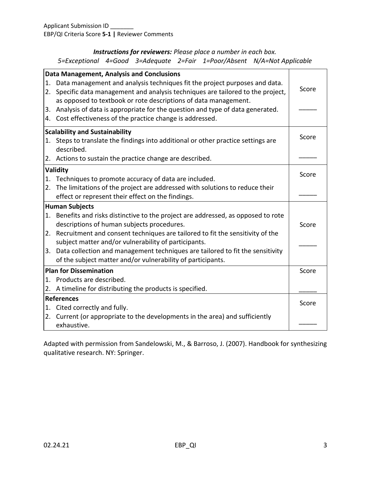## *Instructions for reviewers: Please place a number in each box.*

*5=Exceptional 4=Good 3=Adequate 2=Fair 1=Poor/Absent N/A=Not Applicable*

| <b>Data Management, Analysis and Conclusions</b> |                                                                                    |       |  |  |  |
|--------------------------------------------------|------------------------------------------------------------------------------------|-------|--|--|--|
| 1.                                               | Data management and analysis techniques fit the project purposes and data.         |       |  |  |  |
|                                                  | 2. Specific data management and analysis techniques are tailored to the project,   | Score |  |  |  |
|                                                  | as opposed to textbook or rote descriptions of data management.                    |       |  |  |  |
|                                                  | 3. Analysis of data is appropriate for the question and type of data generated.    |       |  |  |  |
|                                                  | 4. Cost effectiveness of the practice change is addressed.                         |       |  |  |  |
| <b>Scalability and Sustainability</b>            |                                                                                    |       |  |  |  |
|                                                  | 1. Steps to translate the findings into additional or other practice settings are  | Score |  |  |  |
|                                                  | described.                                                                         |       |  |  |  |
|                                                  | 2. Actions to sustain the practice change are described.                           |       |  |  |  |
| Validity                                         |                                                                                    |       |  |  |  |
|                                                  | 1. Techniques to promote accuracy of data are included.                            | Score |  |  |  |
|                                                  | 2. The limitations of the project are addressed with solutions to reduce their     |       |  |  |  |
|                                                  | effect or represent their effect on the findings.                                  |       |  |  |  |
| <b>Human Subjects</b>                            |                                                                                    |       |  |  |  |
|                                                  | 1. Benefits and risks distinctive to the project are addressed, as opposed to rote |       |  |  |  |
|                                                  | descriptions of human subjects procedures.                                         | Score |  |  |  |
|                                                  | 2. Recruitment and consent techniques are tailored to fit the sensitivity of the   |       |  |  |  |
|                                                  | subject matter and/or vulnerability of participants.                               |       |  |  |  |
|                                                  | 3. Data collection and management techniques are tailored to fit the sensitivity   |       |  |  |  |
|                                                  | of the subject matter and/or vulnerability of participants.                        |       |  |  |  |
| <b>Plan for Dissemination</b>                    |                                                                                    |       |  |  |  |
|                                                  | 1. Products are described.                                                         |       |  |  |  |
|                                                  | 2. A timeline for distributing the products is specified.                          |       |  |  |  |
| <b>References</b>                                |                                                                                    |       |  |  |  |
|                                                  | 1. Cited correctly and fully.                                                      | Score |  |  |  |
|                                                  | 2. Current (or appropriate to the developments in the area) and sufficiently       |       |  |  |  |
|                                                  | exhaustive.                                                                        |       |  |  |  |
|                                                  |                                                                                    |       |  |  |  |

Adapted with permission from Sandelowski, M., & Barroso, J. (2007). Handbook for synthesizing qualitative research. NY: Springer.